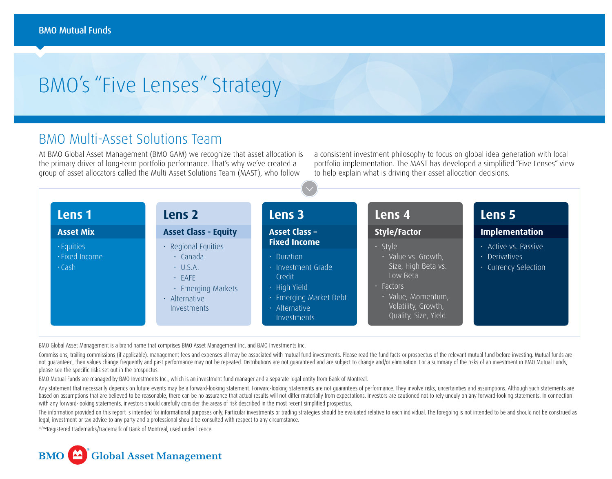## BMO's "Five Lenses" Strategy

## BMO Multi-Asset Solutions Team

At BMO Global Asset Management (BMO GAM) we recognize that asset allocation is the primary driver of long-term portfolio performance. That's why we've created a group of asset allocators called the Multi-Asset Solutions Team (MAST), who follow

a consistent investment philosophy to focus on global idea generation with local portfolio implementation. The MAST has developed a simplified "Five Lenses" view to help explain what is driving their asset allocation decisions.

| Lens 1<br>Lens 2 |                             | Lens 3                 | Lens 4               | Lens 5                                        |  |
|------------------|-----------------------------|------------------------|----------------------|-----------------------------------------------|--|
| <b>Asset Mix</b> | <b>Asset Class - Equity</b> | <b>Asset Class -</b>   | <b>Style/Factor</b>  | <b>Implementation</b><br>· Active vs. Passive |  |
| · Equities       | · Regional Equities         | <b>Fixed Income</b>    | · Style              |                                               |  |
| · Fixed Income   | $\cdot$ Canada              | $\cdot$ Duration       | · Value vs. Growth,  | $\cdot$ Derivatives                           |  |
| $\cdot$ Cash     | $\cdot$ U.S.A.              | · Investment Grade     | Size, High Beta vs.  | • Currency Selection                          |  |
|                  | $·$ FAFE                    | Credit                 | Low Beta             |                                               |  |
|                  | · Emerging Markets          | $\cdot$ High Yield     | $\cdot$ Factors      |                                               |  |
|                  | $\cdot$ Alternative         | · Emerging Market Debt | · Value, Momentum,   |                                               |  |
|                  | Investments                 | · Alternative          | Volatility, Growth,  |                                               |  |
|                  |                             | Investments            | Quality, Size, Yield |                                               |  |

BMO Global Asset Management is a brand name that comprises BMO Asset Management Inc. and BMO Investments Inc.

Commissions, trailing commissions (if applicable), management fees and expenses all may be associated with mutual fund investments. Please read the fund facts or prospectus of the relevant mutual fund before investing. Mut not quaranteed, their values change frequently and past performance may not be repeated. Distributions are not quaranteed and are subject to change and/or elimination. For a summary of the risks of an investment in BMO Mut please see the specific risks set out in the prospectus.

BMO Mutual Funds are managed by BMO Investments Inc., which is an investment fund manager and a separate legal entity from Bank of Montreal.

Any statement that necessarily depends on future events may be a forward-looking statement. Forward-looking statements are not quarantees of performance. They involve risks, uncertainties and assumptions. Although such sta based on assumptions that are believed to be reasonable, there can be no assurance that actual results will not differ materially from expectations. Investors are cautioned not to rely unduly on any forward-looking stateme with any forward-looking statements, investors should carefully consider the areas of risk described in the most recent simplified prospectus.

The information provided on this report is intended for informational purposes only. Particular investments or trading strategies should be evaluated relative to each individual. The foregoing is not intended to be and sho legal, investment or tax advice to any party and a professional should be consulted with respect to any circumstance.

®/™Registered trademarks/trademark of Bank of Montreal, used under licence.